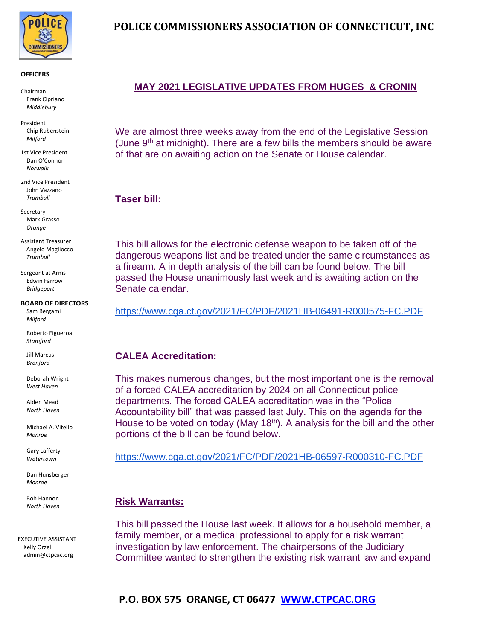

#### **OFFICERS**

Chairman Frank Cipriano *Middlebury*

President Chip Rubenstein *Milford*

1st Vice President Dan O'Connor *Norwalk*

2nd Vice President John Vazzano *Trumbull*

**Secretary** Mark Grasso *Orange*

Assistant Treasurer Angelo Magliocco *Trumbull*

Sergeant at Arms Edwin Farrow *Bridgeport*

#### **BOARD OF DIRECTORS**

Sam Bergami *Milford*

Roberto Figueroa *Stamford*

Jill Marcus *Branford*

Deborah Wright *West Haven*

Alden Mead  *North Haven*

 Michael A. Vitello *Monroe*

Gary Lafferty *Watertown*

Dan Hunsberger *Monroe*

 Bob Hannon  *North Haven*

EXECUTIVE ASSISTANT Kelly Orzel admin@ctpcac.org

# **POLICE COMMISSIONERS ASSOCIATION OF CONNECTICUT, INC**

# **MAY 2021 LEGISLATIVE UPDATES FROM HUGES & CRONIN**

We are almost three weeks away from the end of the Legislative Session (June 9<sup>th</sup> at midnight). There are a few bills the members should be aware of that are on awaiting action on the Senate or House calendar.

## **Taser bill:**

This bill allows for the electronic defense weapon to be taken off of the dangerous weapons list and be treated under the same circumstances as a firearm. A in depth analysis of the bill can be found below. The bill passed the House unanimously last week and is awaiting action on the Senate calendar.

#### [https://www.cga.ct.gov/2021/FC/PDF/2021HB-06491-R000575-FC.PDF](https://linkprotect.cudasvc.com/url?a=https%3a%2f%2fwww.cga.ct.gov%2f2021%2fFC%2fPDF%2f2021HB-06491-R000575-FC.PDF&c=E,1,9FTifIlV9Ih8RAn4NeFu4Dgz4tjbS6yHdYMMiazAVzyWsz478T2K3_P1cZTN_SpI5CdzRcfQ9joWUxA2srAtNhzR_je101cvao5lx8eTR55M0KfgPIw,&typo=1)

### **CALEA Accreditation:**

This makes numerous changes, but the most important one is the removal of a forced CALEA accreditation by 2024 on all Connecticut police departments. The forced CALEA accreditation was in the "Police Accountability bill" that was passed last July. This on the agenda for the House to be voted on today (May 18<sup>th</sup>). A analysis for the bill and the other portions of the bill can be found below.

[https://www.cga.ct.gov/2021/FC/PDF/2021HB-06597-R000310-FC.PDF](https://linkprotect.cudasvc.com/url?a=https%3a%2f%2fwww.cga.ct.gov%2f2021%2fFC%2fPDF%2f2021HB-06597-R000310-FC.PDF&c=E,1,iFnkyfl7yIDEln3u7d9zU8tVUhjJFAUgSaJ81kePXg_VfyE34YxQKiIKjBclbW6_s2XABThweAsU8m01Uejzlh_su_yl4gx9wlAlvJC0s8CS&typo=1)

### **Risk Warrants:**

This bill passed the House last week. It allows for a household member, a family member, or a medical professional to apply for a risk warrant investigation by law enforcement. The chairpersons of the Judiciary Committee wanted to strengthen the existing risk warrant law and expand